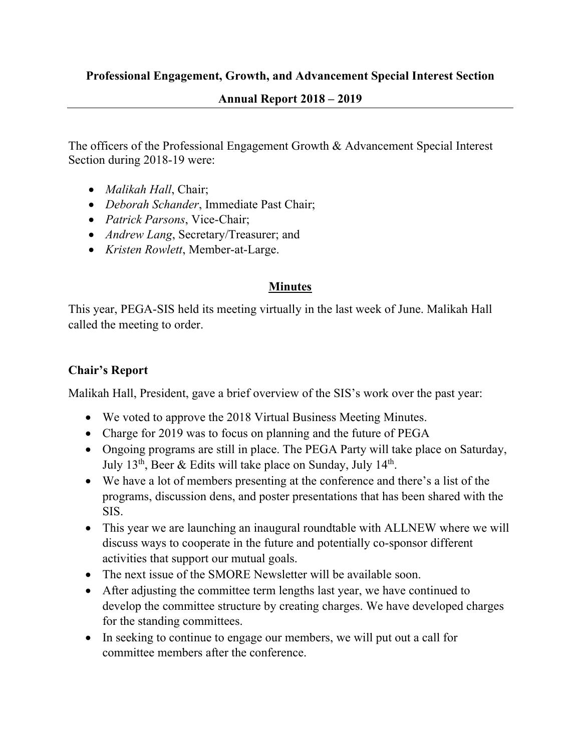### **Professional Engagement, Growth, and Advancement Special Interest Section**

### **Annual Report 2018 – 2019**

The officers of the Professional Engagement Growth & Advancement Special Interest Section during 2018-19 were:

- *Malikah Hall*, Chair;
- *Deborah Schander*, Immediate Past Chair;
- *Patrick Parsons*, Vice-Chair;
- *Andrew Lang*, Secretary/Treasurer; and
- *Kristen Rowlett*, Member-at-Large.

# **Minutes**

This year, PEGA-SIS held its meeting virtually in the last week of June. Malikah Hall called the meeting to order.

#### **Chair's Report**

Malikah Hall, President, gave a brief overview of the SIS's work over the past year:

- We voted to approve the 2018 Virtual Business Meeting Minutes.
- Charge for 2019 was to focus on planning and the future of PEGA
- Ongoing programs are still in place. The PEGA Party will take place on Saturday, July 13<sup>th</sup>, Beer & Edits will take place on Sunday, July 14<sup>th</sup>.
- We have a lot of members presenting at the conference and there's a list of the programs, discussion dens, and poster presentations that has been shared with the SIS.
- This year we are launching an inaugural roundtable with ALLNEW where we will discuss ways to cooperate in the future and potentially co-sponsor different activities that support our mutual goals.
- The next issue of the SMORE Newsletter will be available soon.
- After adjusting the committee term lengths last year, we have continued to develop the committee structure by creating charges. We have developed charges for the standing committees.
- In seeking to continue to engage our members, we will put out a call for committee members after the conference.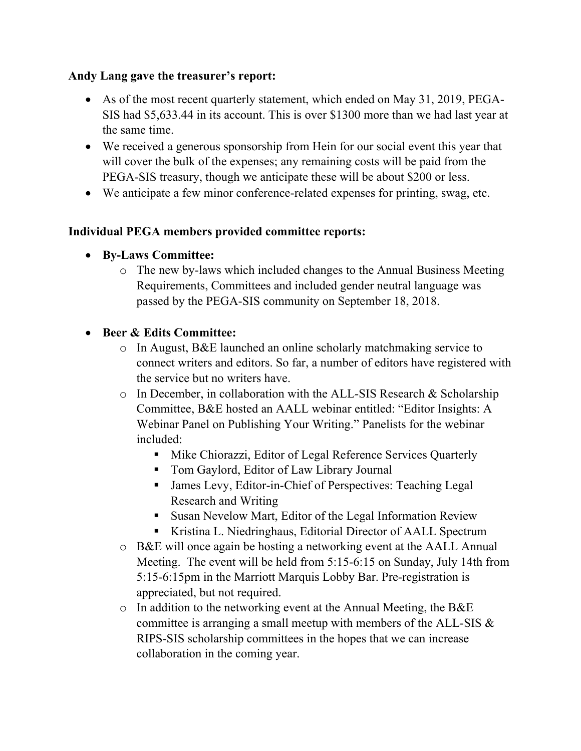### **Andy Lang gave the treasurer's report:**

- As of the most recent quarterly statement, which ended on May 31, 2019, PEGA-SIS had \$5,633.44 in its account. This is over \$1300 more than we had last year at the same time.
- We received a generous sponsorship from Hein for our social event this year that will cover the bulk of the expenses; any remaining costs will be paid from the PEGA-SIS treasury, though we anticipate these will be about \$200 or less.
- We anticipate a few minor conference-related expenses for printing, swag, etc.

# **Individual PEGA members provided committee reports:**

- **By-Laws Committee:**
	- o The new by-laws which included changes to the Annual Business Meeting Requirements, Committees and included gender neutral language was passed by the PEGA-SIS community on September 18, 2018.

## • **Beer & Edits Committee:**

- o In August, B&E launched an online scholarly matchmaking service to connect writers and editors. So far, a number of editors have registered with the service but no writers have.
- o In December, in collaboration with the ALL-SIS Research & Scholarship Committee, B&E hosted an AALL webinar entitled: "Editor Insights: A Webinar Panel on Publishing Your Writing." Panelists for the webinar included:
	- **Mike Chiorazzi, Editor of Legal Reference Services Quarterly**
	- Tom Gaylord, Editor of Law Library Journal
	- James Levy, Editor-in-Chief of Perspectives: Teaching Legal Research and Writing
	- Susan Nevelow Mart, Editor of the Legal Information Review
	- Kristina L. Niedringhaus, Editorial Director of AALL Spectrum
- o B&E will once again be hosting a networking event at the AALL Annual Meeting. The event will be held from 5:15-6:15 on Sunday, July 14th from 5:15-6:15pm in the Marriott Marquis Lobby Bar. Pre-registration is appreciated, but not required.
- o In addition to the networking event at the Annual Meeting, the B&E committee is arranging a small meetup with members of the ALL-SIS & RIPS-SIS scholarship committees in the hopes that we can increase collaboration in the coming year.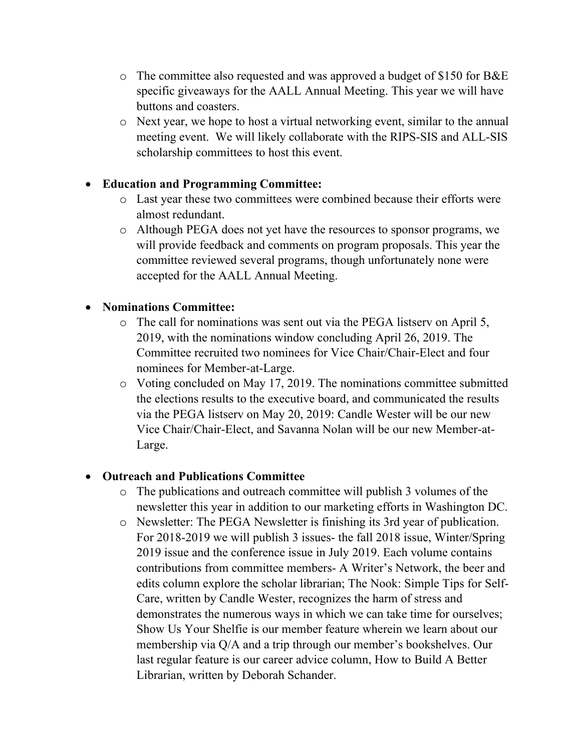- o The committee also requested and was approved a budget of \$150 for B&E specific giveaways for the AALL Annual Meeting. This year we will have buttons and coasters.
- o Next year, we hope to host a virtual networking event, similar to the annual meeting event. We will likely collaborate with the RIPS-SIS and ALL-SIS scholarship committees to host this event.

## • **Education and Programming Committee:**

- o Last year these two committees were combined because their efforts were almost redundant.
- o Although PEGA does not yet have the resources to sponsor programs, we will provide feedback and comments on program proposals. This year the committee reviewed several programs, though unfortunately none were accepted for the AALL Annual Meeting.

## • **Nominations Committee:**

- o The call for nominations was sent out via the PEGA listserv on April 5, 2019, with the nominations window concluding April 26, 2019. The Committee recruited two nominees for Vice Chair/Chair-Elect and four nominees for Member-at-Large.
- o Voting concluded on May 17, 2019. The nominations committee submitted the elections results to the executive board, and communicated the results via the PEGA listserv on May 20, 2019: Candle Wester will be our new Vice Chair/Chair-Elect, and Savanna Nolan will be our new Member-at-Large.

### • **Outreach and Publications Committee**

- o The publications and outreach committee will publish 3 volumes of the newsletter this year in addition to our marketing efforts in Washington DC.
- o Newsletter: The PEGA Newsletter is finishing its 3rd year of publication. For 2018-2019 we will publish 3 issues- the fall 2018 issue, Winter/Spring 2019 issue and the conference issue in July 2019. Each volume contains contributions from committee members- A Writer's Network, the beer and edits column explore the scholar librarian; The Nook: Simple Tips for Self-Care, written by Candle Wester, recognizes the harm of stress and demonstrates the numerous ways in which we can take time for ourselves; Show Us Your Shelfie is our member feature wherein we learn about our membership via Q/A and a trip through our member's bookshelves. Our last regular feature is our career advice column, How to Build A Better Librarian, written by Deborah Schander.